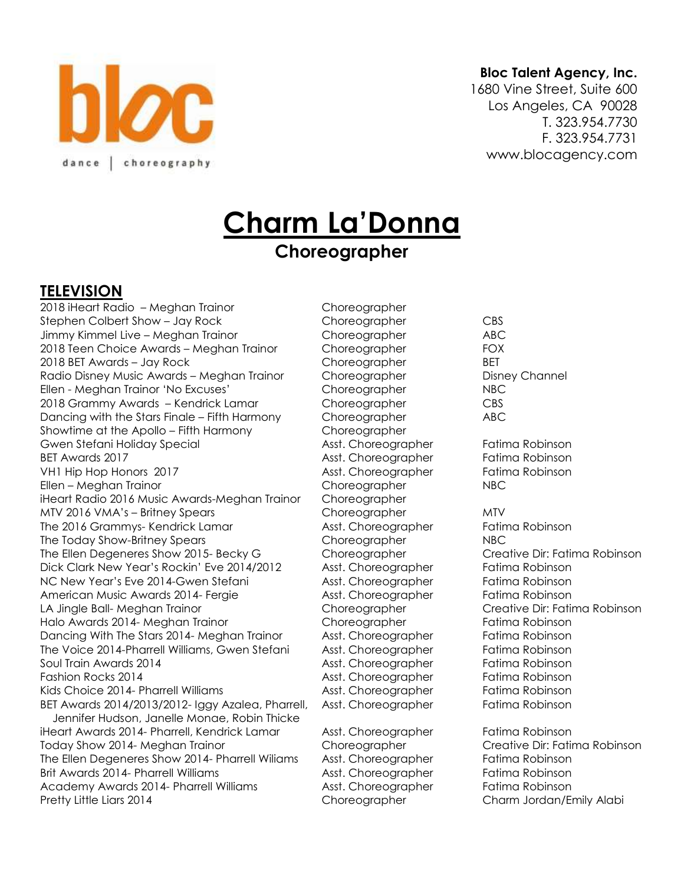

#### **Bloc Talent Agency, Inc.**

1680 Vine Street, Suite 600 Los Angeles, CA 90028 T. 323.954.7730 F. 323.954.7731 www.blocagency.com

# **Charm La'Donna**

# **Choreographer**

#### **TELEVISION**

2018 iHeart Radio – Meghan Trainor Choreographer Stephen Colbert Show – Jay Rock Choreographer CBS Jimmy Kimmel Live – Meghan Trainor Choreographer ABC 2018 Teen Choice Awards – Meghan Trainor Choreographer FOX 2018 BET Awards – Jay Rock Choreographer BET Radio Disney Music Awards – Meghan Trainor Choreographer Channel Disney Channel Ellen - Meghan Trainor 'No Excuses' Choreographer NBC 2018 Grammy Awards – Kendrick Lamar Choreographer CBS Dancing with the Stars Finale – Fifth Harmony Choreographer ABC Showtime at the Apollo – Fifth Harmony Choreographer Gwen Stefani Holiday Special Asst. Choreographer Fatima Robinson BET Awards 2017 **Asst. Choreographer** Fatima Robinson VH1 Hip Hop Honors 2017 **Asst. Choreographer** Fatima Robinson Ellen – Meghan Trainor Choreographer NBC iHeart Radio 2016 Music Awards-Meghan Trainor Choreographer MTV 2016 VMA's – Britney Spears Choreographer MTV The 2016 Grammys- Kendrick Lamar **Asst. Choreographer** Fatima Robinson The Today Show-Britney Spears Choreographer NBC The Ellen Degeneres Show 2015- Becky G Choreographer Creative Dir: Fatima Robinson Dick Clark New Year's Rockin' Eve 2014/2012 Asst. Choreographer Fatima Robinson NC New Year's Eve 2014-Gwen Stefani Asst. Choreographer Fatima Robinson American Music Awards 2014- Fergie Asst. Choreographer Fatima Robinson LA Jingle Ball- Meghan Trainor Choreographer Creative Dir: Fatima Robinson Halo Awards 2014- Meghan Trainor **Choreographer** Fatima Robinson Dancing With The Stars 2014- Meghan Trainor Asst. Choreographer Fatima Robinson The Voice 2014-Pharrell Williams, Gwen Stefani Asst. Choreographer Fatima Robinson Soul Train Awards 2014 **Asst. Choreographer Fatima Robinson** Asst. Choreographer Fatima Robinson Fashion Rocks 2014 Asst. Choreographer Fatima Robinson Kids Choice 2014- Pharrell Williams **Asst. Choreographer** Fatima Robinson BET Awards 2014/2013/2012- Iggy Azalea, Pharrell, Asst. Choreographer Fatima Robinson Jennifer Hudson, Janelle Monae, Robin Thicke iHeart Awards 2014- Pharrell, Kendrick Lamar Asst. Choreographer Fatima Robinson Today Show 2014- Meghan Trainor Choreographer Creative Dir: Fatima Robinson The Ellen Degeneres Show 2014- Pharrell Wiliams Asst. Choreographer Fatima Robinson Brit Awards 2014- Pharrell Williams **Asst. Choreographer** Fatima Robinson Academy Awards 2014- Pharrell Williams Asst. Choreographer Fatima Robinson Pretty Little Liars 2014 Choreographer Charm Jordan/Emily Alabi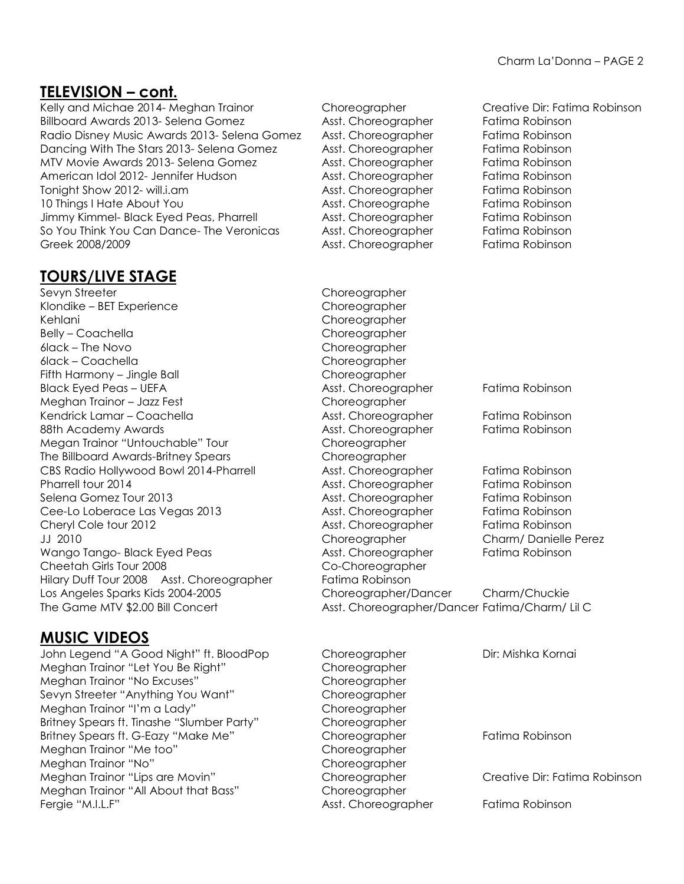## **TELEVISION – cont.**

Billboard Awards 2013- Selena Gomez Asst. Choreographer Fatima Robinson Radio Disney Music Awards 2013- Selena Gomez Asst. Choreographer Fatima Robinson Dancing With The Stars 2013- Selena Gomez Asst. Choreographer Fatima Robinson MTV Movie Awards 2013- Selena Gomez Asst. Choreographer Fatima Robinson American Idol 2012- Jennifer Hudson **Asst. Choreographer** Fatima Robinson Tonight Show 2012- will.i.am Asst. Choreographer Fatima Robinson 10 Things I Hate About You **Asst. Choreographe** Fatima Robinson Jimmy Kimmel- Black Eyed Peas, Pharrell Asst. Choreographer Fatima Robinson So You Think You Can Dance- The Veronicas Asst. Choreographer Fatima Robinson Greek 2008/2009 **Asst. Choreographer** Fatima Robinson

### **TOURS/LIVE STAGE**

Sevyn Streeter Choreographer Klondike – BET Experience Choreographer Kehlani Choreographer Belly – Coachella Choreographer 6lack – The Novo Choreographer 6lack – Coachella Choreographer Fifth Harmony – Jingle Ball **Choreographer** Meghan Trainor – Jazz Fest Choreographer Megan Trainor "Untouchable" Tour Choreographer The Billboard Awards-Britney Spears Choreographer Cheetah Girls Tour 2008 Co-Choreographer Hilary Duff Tour 2008 Asst. Choreographer Fatima Robinson

## **MUSIC VIDEOS**

John Legend "A Good Night" ft. BloodPop Choreographer Dir: Mishka Kornai Meghan Trainor "Let You Be Right" Choreographer Meghan Trainor "No Excuses" Choreographer Sevyn Streeter "Anything You Want" Choreographer Meghan Trainor "I'm a Lady" Choreographer Britney Spears ft. Tinashe "Slumber Party" Choreographer Britney Spears ft. G-Eazy "Make Me" Choreographer Fatima Robinson Meghan Trainor "Me too" Choreographer Meghan Trainor "No" Choreographer Meghan Trainor "Lips are Movin" Choreographer Creative Dir: Fatima Robinson Meghan Trainor "All About that Bass" Choreographer Fergie "M.I.L.F" Asst. Choreographer Fatima Robinson

Kelly and Michae 2014- Meghan Trainor Choreographer Creative Dir: Fatima Robinson Black Eyed Peas – UEFA Asst. Choreographer Fatima Robinson Kendrick Lamar – Coachella **Asst. Choreographer Fatima Robinson** 88th Academy Awards **Asst. Choreographer** Fatima Robinson CBS Radio Hollywood Bowl 2014-Pharrell Asst. Choreographer Fatima Robinson Pharrell tour 2014 **Asst. Choreographer** Fatima Robinson Selena Gomez Tour 2013 **Asst. Choreographer** Fatima Robinson Cee-Lo Loberace Las Vegas 2013 Asst. Choreographer Fatima Robinson Cheryl Cole tour 2012 **Asst. Choreographer** Fatima Robinson JJ 2010 Choreographer Charm/ Danielle Perez Wango Tango- Black Eyed Peas Asst. Choreographer Fatima Robinson Los Angeles Sparks Kids 2004-2005 Choreographer/Dancer Charm/Chuckie The Game MTV \$2.00 Bill Concert Asst. Choreographer/Dancer Fatima/Charm/ Lil C